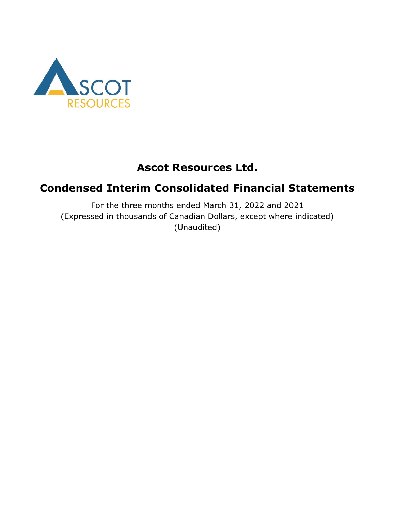

# **Condensed Interim Consolidated Financial Statements**

For the three months ended March 31, 2022 and 2021 (Expressed in thousands of Canadian Dollars, except where indicated) (Unaudited)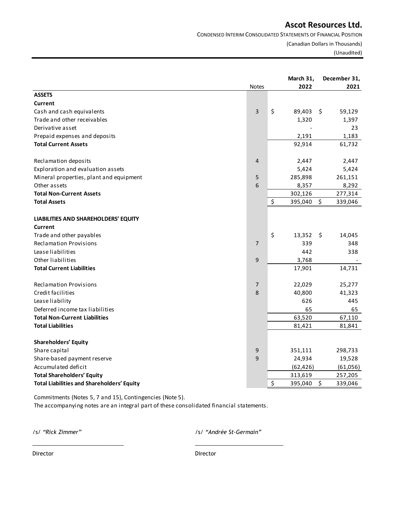CONDENSED INTERIM CONSOLIDATED STATEMENTS OF FINANCIAL POSITION

(Canadian Dollars in Thousands)

(Unaudited)

|                                                   | <b>Notes</b>   | March 31,<br>2022 |    | December 31,<br>2021 |
|---------------------------------------------------|----------------|-------------------|----|----------------------|
| <b>ASSETS</b>                                     |                |                   |    |                      |
| <b>Current</b>                                    |                |                   |    |                      |
| Cash and cash equivalents                         | 3              | \$<br>89,403      | \$ | 59,129               |
| Trade and other receivables                       |                | 1,320             |    | 1,397                |
| Derivative asset                                  |                |                   |    | 23                   |
| Prepaid expenses and deposits                     |                | 2,191             |    | 1,183                |
| <b>Total Current Assets</b>                       |                | 92,914            |    | 61,732               |
| Reclamation deposits                              | 4              | 2,447             |    | 2,447                |
| Exploration and evaluation assets                 |                | 5,424             |    | 5,424                |
| Mineral properties, plant and equipment           | 5              | 285,898           |    | 261,151              |
| Other assets                                      | 6              | 8,357             |    | 8,292                |
| <b>Total Non-Current Assets</b>                   |                | 302,126           |    | 277,314              |
| <b>Total Assets</b>                               |                | \$<br>395,040     | \$ | 339,046              |
| <b>LIABILITIES AND SHAREHOLDERS' EQUITY</b>       |                |                   |    |                      |
| <b>Current</b>                                    |                |                   |    |                      |
| Trade and other payables                          |                | \$<br>13,352      | S. | 14,045               |
| <b>Reclamation Provisions</b>                     | $\overline{7}$ | 339               |    | 348                  |
| Lease liabilities                                 |                | 442               |    | 338                  |
| Other liabilities                                 | 9              | 3,768             |    |                      |
| <b>Total Current Liabilities</b>                  |                | 17,901            |    | 14,731               |
| <b>Reclamation Provisions</b>                     | 7              | 22,029            |    | 25,277               |
| Credit facilities                                 | 8              | 40,800            |    | 41,323               |
| Lease liability                                   |                | 626               |    | 445                  |
| Deferred income tax liabilities                   |                | 65                |    | 65                   |
| <b>Total Non-Current Liabilities</b>              |                | 63,520            |    | 67,110               |
| <b>Total Liabilities</b>                          |                | 81,421            |    | 81,841               |
| <b>Shareholders' Equity</b>                       |                |                   |    |                      |
| Share capital                                     | 9              | 351,111           |    | 298,733              |
| Share-based payment reserve                       | 9              | 24,934            |    | 19,528               |
| Accumulated deficit                               |                | (62, 426)         |    | (61,056)             |
| <b>Total Shareholders' Equity</b>                 |                | 313,619           |    | 257,205              |
| <b>Total Liabilities and Shareholders' Equity</b> |                | \$<br>395,040     | \$ | 339,046              |

The accompanying notes are an integral part of these consolidated financial statements. Commitments (Notes 5, 7 and 15), Contingencies (Note 5).

*\_\_\_\_\_\_\_\_\_\_\_\_\_\_\_\_\_\_\_\_\_\_\_\_\_\_\_\_\_\_ \_\_\_\_\_\_\_\_\_\_\_\_\_\_\_\_\_\_\_\_\_\_\_\_\_\_\_\_\_*

/s/ *"Rick Zimmer"* /s/ *"Andrée St-Germain"*

Director **Director** Director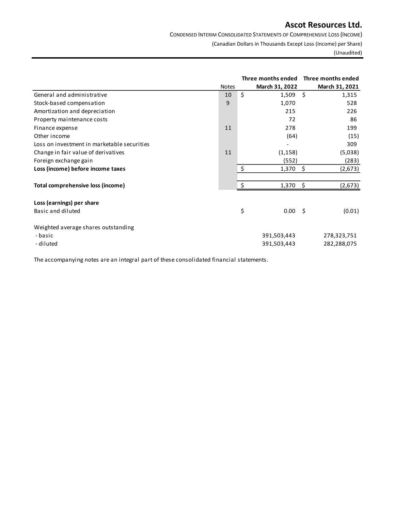CONDENSED INTERIM CONSOLIDATED STATEMENTS OF COMPREHENSIVE LOSS (INCOME)

(Canadian Dollars in Thousands Except Loss (Income) per Share)

(Unaudited)

|                                             |              | Three months ended | Three months ended            |
|---------------------------------------------|--------------|--------------------|-------------------------------|
|                                             | <b>Notes</b> | March 31, 2022     | March 31, 2021                |
| General and administrative                  | 10           | \$<br>1,509        | $\ddot{\mathsf{S}}$<br>1,315  |
| Stock-based compensation                    | 9            | 1,070              | 528                           |
| Amortization and depreciation               |              | 215                | 226                           |
| Property maintenance costs                  |              | 72                 | 86                            |
| Finance expense                             | 11           | 278                | 199                           |
| Other income                                |              | (64)               | (15)                          |
| Loss on investment in marketable securities |              |                    | 309                           |
| Change in fair value of derivatives         | 11           | (1, 158)           | (5,038)                       |
| Foreign exchange gain                       |              | (552)              | (283)                         |
| Loss (income) before income taxes           |              | \$<br>1,370        | Ŝ.<br>(2,673)                 |
| <b>Total comprehensive loss (income)</b>    |              | $\zeta$<br>1,370   | $\ddot{\varsigma}$<br>(2,673) |
| Loss (earnings) per share                   |              |                    |                               |
| Basic and diluted                           |              | \$<br>0.00         | (0.01)<br>- \$                |
| Weighted average shares outstanding         |              |                    |                               |
| - basic                                     |              | 391,503,443        | 278,323,751                   |
| - diluted                                   |              | 391,503,443        | 282,288,075                   |

The accompanying notes are an integral part of these consolidated financial statements.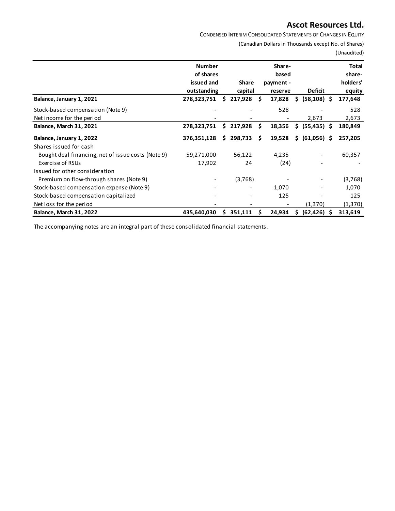CONDENSED INTERIM CONSOLIDATED STATEMENTS OF CHANGES IN EQUITY

(Canadian Dollars in Thousands except No. of Shares) (Unaudited)

|                                                    | <b>Number</b> |     |              |    | Share-    |     |                | Total    |
|----------------------------------------------------|---------------|-----|--------------|----|-----------|-----|----------------|----------|
|                                                    | of shares     |     |              |    | based     |     |                | share-   |
|                                                    | issued and    |     | <b>Share</b> |    | payment - |     |                | holders' |
|                                                    | outstanding   |     | capital      |    | reserve   |     | <b>Deficit</b> | equity   |
| Balance, January 1, 2021                           | 278,323,751   | \$. | 217,928      | S  | 17,828    | \$. | $(58, 108)$ \$ | 177,648  |
| Stock-based compensation (Note 9)                  |               |     |              |    | 528       |     |                | 528      |
| Net income for the period                          |               |     |              |    |           |     | 2,673          | 2,673    |
| <b>Balance, March 31, 2021</b>                     | 278,323,751   | S.  | 217,928      | S. | 18,356    | S.  | $(55, 435)$ \$ | 180,849  |
| Balance, January 1, 2022                           | 376,351,128   | s   | 298,733      | S  | 19,528    | S.  | $(61,056)$ \$  | 257,205  |
| Shares issued for cash                             |               |     |              |    |           |     |                |          |
| Bought deal financing, net of issue costs (Note 9) | 59,271,000    |     | 56,122       |    | 4,235     |     |                | 60,357   |
| Exercise of RSUs                                   | 17,902        |     | 24           |    | (24)      |     |                |          |
| Issued for other consideration                     |               |     |              |    |           |     |                |          |
| Premium on flow-through shares (Note 9)            |               |     | (3,768)      |    |           |     |                | (3,768)  |
| Stock-based compensation expense (Note 9)          |               |     |              |    | 1,070     |     |                | 1,070    |
| Stock-based compensation capitalized               |               |     |              |    | 125       |     |                | 125      |
| Net loss for the period                            |               |     |              |    |           |     | (1, 370)       | (1, 370) |
| Balance, March 31, 2022                            | 435,640,030   |     | 351,111      |    | 24,934    | s   | (62, 426)      | 313,619  |

The accompanying notes are an integral part of these consolidated financial statements.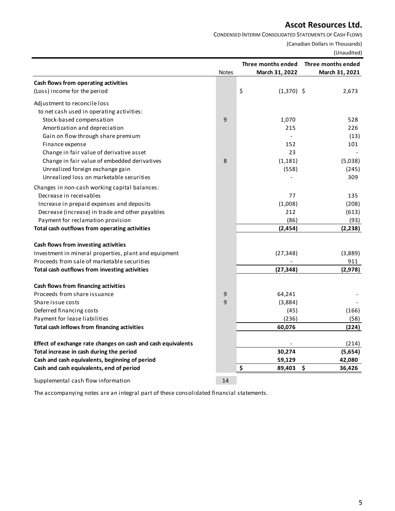CONDENSED INTERIM CONSOLIDATED STATEMENTS OF CASH FLOWS

(Canadian Dollars in Thousands)

(Unaudited)

|                                                                                         | <b>Notes</b> | Three months ended<br>March 31, 2022 | Three months ended<br>March 31, 2021 |
|-----------------------------------------------------------------------------------------|--------------|--------------------------------------|--------------------------------------|
| Cash flows from operating activities                                                    |              |                                      |                                      |
| (Loss) income for the period                                                            |              | \$<br>$(1,370)$ \$                   | 2,673                                |
| Adjustment to reconcile loss                                                            |              |                                      |                                      |
| to net cash used in operating activities:                                               |              |                                      |                                      |
| Stock-based compensation                                                                | 9            | 1,070                                | 528                                  |
| Amortization and depreciation                                                           |              | 215                                  | 226                                  |
| Gain on flow through share premium                                                      |              |                                      | (13)                                 |
| Finance expense                                                                         |              | 152                                  | 101                                  |
| Change in fair value of derivative asset                                                |              | 23                                   |                                      |
| Change in fair value of embedded derivatives                                            | 8            | (1, 181)                             | (5,038)                              |
| Unrealized foreign exchange gain                                                        |              | (558)                                | (245)                                |
| Unrealized loss on marketable securities                                                |              |                                      | 309                                  |
| Changes in non-cash working capital balances:                                           |              |                                      |                                      |
| Decrease in receivables                                                                 |              | 77                                   | 135                                  |
| Increase in prepaid expenses and deposits                                               |              | (1,008)                              | (208)                                |
| Decrease (increase) in trade and other payables                                         |              | 212                                  | (613)                                |
| Payment for reclamation provision                                                       |              | (86)                                 | (93)                                 |
| Total cash outflows from operating activities                                           |              | (2, 454)                             | (2, 238)                             |
|                                                                                         |              |                                      |                                      |
| Cash flows from investing activities                                                    |              |                                      |                                      |
| Investment in mineral properties, plant and equipment                                   |              | (27, 348)                            | (3,889)                              |
| Proceeds from sale of marketable securities                                             |              |                                      | 911                                  |
| Total cash outflows from investing activities                                           |              | (27, 348)                            | (2,978)                              |
|                                                                                         |              |                                      |                                      |
| Cash flows from financing activities                                                    |              |                                      |                                      |
| Proceeds from share issuance                                                            | 9            | 64,241                               |                                      |
| Share issue costs                                                                       | 9            | (3,884)                              |                                      |
| Deferred financing costs                                                                |              | (45)                                 | (166)                                |
| Payment for lease liabilities                                                           |              | (236)                                | (58)                                 |
| Total cash inflows from financing activities                                            |              | 60,076                               | (224)                                |
|                                                                                         |              |                                      |                                      |
| Effect of exchange rate changes on cash and cash equivalents                            |              |                                      | (214)                                |
| Total increase in cash during the period                                                |              | 30,274                               | (5,654)                              |
| Cash and cash equivalents, beginning of period                                          |              | 59,129                               | 42,080                               |
| Cash and cash equivalents, end of period                                                |              | \$<br>89,403                         | \$<br>36,426                         |
| Supplemental cash flow information                                                      | 14           |                                      |                                      |
| The accompanying notes are an integral part of these consolidated financial statements. |              |                                      |                                      |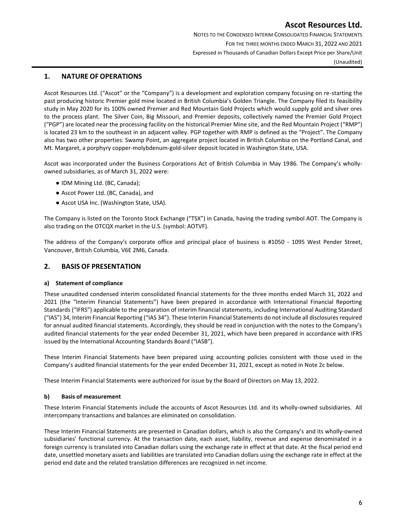NOTES TO THE CONDENSED INTERIM CONSOLIDATED FINANCIAL STATEMENTS FOR THE THREE MONTHS ENDED MARCH 31, 2022 AND 2021 Expressed in Thousands of Canadian Dollars Except Price per Share/Unit (Unaudited)

### **1. NATURE OF OPERATIONS**

Ascot Resources Ltd. ("Ascot" or the "Company") is a development and exploration company focusing on re-starting the past producing historic Premier gold mine located in British Columbia's Golden Triangle. The Company filed its feasibility study in May 2020 for its 100% owned Premier and Red Mountain Gold Projects which would supply gold and silver ores to the process plant. The Silver Coin, Big Missouri, and Premier deposits, collectively named the Premier Gold Project ("PGP") are located near the processing facility on the historical Premier Mine site, and the Red Mountain Project ("RMP") is located 23 km to the southeast in an adjacent valley. PGP together with RMP is defined as the "Project". The Company also has two other properties: Swamp Point, an aggregate project located in British Columbia on the Portland Canal, and Mt. Margaret, a porphyry copper-molybdenum-gold-silver deposit located in Washington State, USA.

Ascot was incorporated under the Business Corporations Act of British Columbia in May 1986. The Company's whollyowned subsidiaries, as of March 31, 2022 were:

- IDM Mining Ltd. (BC, Canada);
- Ascot Power Ltd. (BC, Canada), and
- Ascot USA Inc. (Washington State, USA).

The Company is listed on the Toronto Stock Exchange ("TSX") in Canada, having the trading symbol AOT. The Company is also trading on the OTCQX market in the U.S. (symbol: AOTVF).

The address of the Company's corporate office and principal place of business is #1050 - 1095 West Pender Street, Vancouver, British Columbia, V6E 2M6, Canada.

### **2. BASIS OF PRESENTATION**

#### **a) Statement of compliance**

These unaudited condensed interim consolidated financial statements for the three months ended March 31, 2022 and 2021 (the "Interim Financial Statements") have been prepared in accordance with International Financial Reporting Standards ("IFRS") applicable to the preparation of interim financial statements, including International Auditing Standard ("IAS") 34, Interim Financial Reporting ("IAS 34"). These Interim Financial Statements do not include all disclosures required for annual audited financial statements. Accordingly, they should be read in conjunction with the notes to the Company's audited financial statements for the year ended December 31, 2021, which have been prepared in accordance with IFRS issued by the International Accounting Standards Board ("IASB").

These Interim Financial Statements have been prepared using accounting policies consistent with those used in the Company's audited financial statements for the year ended December 31, 2021, except as noted in Note 2c below.

These Interim Financial Statements were authorized for issue by the Board of Directors on May 13, 2022.

#### **b) Basis of measurement**

These Interim Financial Statements include the accounts of Ascot Resources Ltd. and its wholly-owned subsidiaries. All intercompany transactions and balances are eliminated on consolidation.

These Interim Financial Statements are presented in Canadian dollars, which is also the Company's and its wholly-owned subsidiaries' functional currency. At the transaction date, each asset, liability, revenue and expense denominated in a foreign currency is translated into Canadian dollars using the exchange rate in effect at that date. At the fiscal period end date, unsettled monetary assets and liabilities are translated into Canadian dollars using the exchange rate in effect at the period end date and the related translation differences are recognized in net income.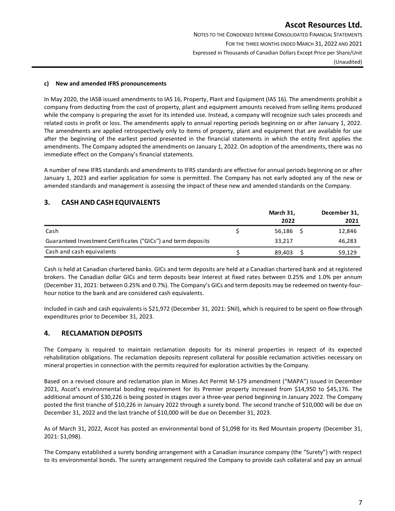NOTES TO THE CONDENSED INTERIM CONSOLIDATED FINANCIAL STATEMENTS FOR THE THREE MONTHS ENDED MARCH 31, 2022 AND 2021 Expressed in Thousands of Canadian Dollars Except Price per Share/Unit (Unaudited)

#### **c) New and amended IFRS pronouncements**

In May 2020, the IASB issued amendments to IAS 16, Property, Plant and Equipment (IAS 16). The amendments prohibit a company from deducting from the cost of property, plant and equipment amounts received from selling items produced while the company is preparing the asset for its intended use. Instead, a company will recognize such sales proceeds and related costs in profit or loss. The amendments apply to annual reporting periods beginning on or after January 1, 2022. The amendments are applied retrospectively only to items of property, plant and equipment that are available for use after the beginning of the earliest period presented in the financial statements in which the entity first applies the amendments. The Company adopted the amendments on January 1, 2022. On adoption of the amendments, there was no immediate effect on the Company's financial statements.

A number of new IFRS standards and amendments to IFRS standards are effective for annual periods beginning on or after January 1, 2023 and earlier application for some is permitted. The Company has not early adopted any of the new or amended standards and management is assessing the impact of these new and amended standards on the Company.

### **3. CASH AND CASH EQUIVALENTS**

|                                                               | March 31,<br>2022 | December 31,<br>2021 |
|---------------------------------------------------------------|-------------------|----------------------|
| Cash                                                          | 56,186            | 12,846               |
| Guaranteed Investment Certificates ("GICs") and term deposits | 33.217            | 46,283               |
| Cash and cash equivalents                                     | 89,403            | 59,129               |

Cash is held at Canadian chartered banks. GICs and term deposits are held at a Canadian chartered bank and at registered brokers. The Canadian dollar GICs and term deposits bear interest at fixed rates between 0.25% and 1.0% per annum (December 31, 2021: between 0.25% and 0.7%). The Company's GICs and term deposits may be redeemed on twenty-fourhour notice to the bank and are considered cash equivalents.

Included in cash and cash equivalents is \$21,972 (December 31, 2021: \$Nil), which is required to be spent on flow-through expenditures prior to December 31, 2023.

### **4. RECLAMATION DEPOSITS**

The Company is required to maintain reclamation deposits for its mineral properties in respect of its expected rehabilitation obligations. The reclamation deposits represent collateral for possible reclamation activities necessary on mineral properties in connection with the permits required for exploration activities by the Company.

Based on a revised closure and reclamation plan in Mines Act Permit M-179 amendment ("MAPA") issued in December 2021, Ascot's environmental bonding requirement for its Premier property increased from \$14,950 to \$45,176. The additional amount of \$30,226 is being posted in stages over a three-year period beginning in January 2022. The Company posted the first tranche of \$10,226 in January 2022 through a surety bond. The second tranche of \$10,000 will be due on December 31, 2022 and the last tranche of \$10,000 will be due on December 31, 2023.

As of March 31, 2022, Ascot has posted an environmental bond of \$1,098 for its Red Mountain property (December 31, 2021: \$1,098).

The Company established a surety bonding arrangement with a Canadian insurance company (the "Surety") with respect to its environmental bonds. The surety arrangement required the Company to provide cash collateral and pay an annual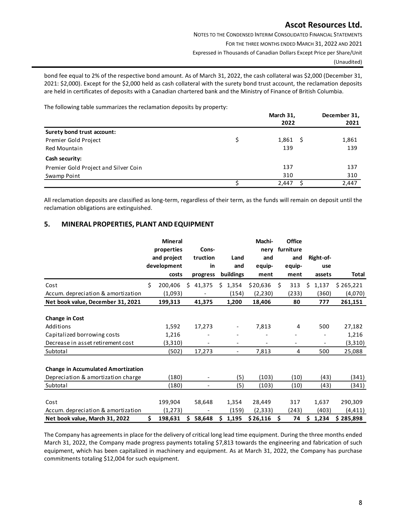NOTES TO THE CONDENSED INTERIM CONSOLIDATED FINANCIAL STATEMENTS FOR THE THREE MONTHS ENDED MARCH 31, 2022 AND 2021 Expressed in Thousands of Canadian Dollars Except Price per Share/Unit (Unaudited)

bond fee equal to 2% of the respective bond amount. As of March 31, 2022, the cash collateral was \$2,000 (December 31, 2021: \$2,000). Except for the \$2,000 held as cash collateral with the surety bond trust account, the reclamation deposits are held in certificates of deposits with a Canadian chartered bank and the Ministry of Finance of British Columbia.

The following table summarizes the reclamation deposits by property:

|                                      | March 31,<br>2022 | December 31,<br>2021 |
|--------------------------------------|-------------------|----------------------|
| Surety bond trust account:           |                   |                      |
| Premier Gold Project                 | $1,861$ \$        | 1,861                |
| Red Mountain                         | 139               | 139                  |
| Cash security:                       |                   |                      |
| Premier Gold Project and Silver Coin | 137               | 137                  |
| Swamp Point                          | 310               | 310                  |
|                                      | 2.447             | 2,447                |

All reclamation deposits are classified as long-term, regardless of their term, as the funds will remain on deposit until the reclamation obligations are extinguished.

### **5. MINERAL PROPERTIES, PLANT AND EQUIPMENT**

|                                           | <b>Mineral</b> |    |                          |     |                          | Machi-   |    | <b>Office</b>                |             |           |
|-------------------------------------------|----------------|----|--------------------------|-----|--------------------------|----------|----|------------------------------|-------------|-----------|
|                                           | properties     |    | Cons-                    |     |                          | nery     |    | furniture                    |             |           |
|                                           | and project    |    | truction                 |     | Land                     | and      |    | and                          | Right-of-   |           |
|                                           | development    |    | in                       |     | and                      | equip-   |    | equip-                       | use         |           |
|                                           | costs          |    | progress                 |     | buildings                | ment     |    | ment                         | assets      | Total     |
| Cost                                      | \$<br>200,406  | Ś. | 41,375                   | Ś.  | 1,354                    | \$20,636 | Ś. | 313                          | \$<br>1,137 | \$265,221 |
| Accum. depreciation & amortization        | (1,093)        |    |                          |     | (154)                    | (2, 230) |    | (233)                        | (360)       | (4,070)   |
| Net book value, December 31, 2021         | 199,313        |    | 41,375                   |     | 1,200                    | 18,406   |    | 80                           | 777         | 261,151   |
|                                           |                |    |                          |     |                          |          |    |                              |             |           |
| <b>Change in Cost</b>                     |                |    |                          |     |                          |          |    |                              |             |           |
| Additions                                 | 1,592          |    | 17,273                   |     |                          | 7,813    |    | 4                            | 500         | 27,182    |
| Capitalized borrowing costs               | 1,216          |    |                          |     |                          |          |    |                              |             | 1,216     |
| Decrease in asset retirement cost         | (3,310)        |    |                          |     |                          |          |    | $\qquad \qquad \blacksquare$ |             | (3,310)   |
| Subtotal                                  | (502)          |    | 17,273                   |     | $\overline{\phantom{0}}$ | 7,813    |    | 4                            | 500         | 25,088    |
|                                           |                |    |                          |     |                          |          |    |                              |             |           |
| <b>Change in Accumulated Amortization</b> |                |    |                          |     |                          |          |    |                              |             |           |
| Depreciation & amortization charge        | (180)          |    |                          |     | (5)                      | (103)    |    | (10)                         | (43)        | (341)     |
| Subtotal                                  | (180)          |    | $\overline{\phantom{a}}$ |     | (5)                      | (103)    |    | (10)                         | (43)        | (341)     |
|                                           |                |    |                          |     |                          |          |    |                              |             |           |
| Cost                                      | 199,904        |    | 58,648                   |     | 1,354                    | 28,449   |    | 317                          | 1,637       | 290,309   |
| Accum. depreciation & amortization        | (1,273)        |    |                          |     | (159)                    | (2, 333) |    | (243)                        | (403)       | (4, 411)  |
| Net book value, March 31, 2022            | \$<br>198,631  | \$ | 58,648                   | \$. | 1,195                    | \$26,116 | S  | 74                           | 1,234<br>\$ | \$285,898 |

The Company has agreements in place for the delivery of critical long lead time equipment. During the three months ended March 31, 2022, the Company made progress payments totaling \$7,813 towards the engineering and fabrication of such equipment, which has been capitalized in machinery and equipment. As at March 31, 2022, the Company has purchase commitments totaling \$12,004 for such equipment.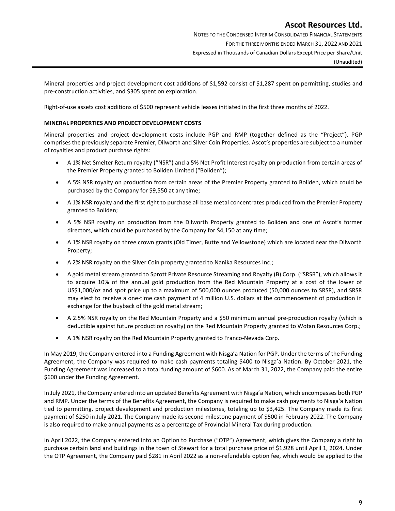Mineral properties and project development cost additions of \$1,592 consist of \$1,287 spent on permitting, studies and pre-construction activities, and \$305 spent on exploration.

Right-of-use assets cost additions of \$500 represent vehicle leases initiated in the first three months of 2022.

#### **MINERAL PROPERTIES AND PROJECT DEVELOPMENT COSTS**

Mineral properties and project development costs include PGP and RMP (together defined as the "Project"). PGP comprises the previously separate Premier, Dilworth and Silver Coin Properties. Ascot's properties are subject to a number of royalties and product purchase rights:

- A 1% Net Smelter Return royalty ("NSR") and a 5% Net Profit Interest royalty on production from certain areas of the Premier Property granted to Boliden Limited ("Boliden");
- A 5% NSR royalty on production from certain areas of the Premier Property granted to Boliden, which could be purchased by the Company for \$9,550 at any time;
- A 1% NSR royalty and the first right to purchase all base metal concentrates produced from the Premier Property granted to Boliden;
- A 5% NSR royalty on production from the Dilworth Property granted to Boliden and one of Ascot's former directors, which could be purchased by the Company for \$4,150 at any time;
- A 1% NSR royalty on three crown grants (Old Timer, Butte and Yellowstone) which are located near the Dilworth Property;
- A 2% NSR royalty on the Silver Coin property granted to Nanika Resources Inc.;
- A gold metal stream granted to Sprott Private Resource Streaming and Royalty (B) Corp. ("SRSR"), which allows it to acquire 10% of the annual gold production from the Red Mountain Property at a cost of the lower of US\$1,000/oz and spot price up to a maximum of 500,000 ounces produced (50,000 ounces to SRSR), and SRSR may elect to receive a one-time cash payment of 4 million U.S. dollars at the commencement of production in exchange for the buyback of the gold metal stream;
- A 2.5% NSR royalty on the Red Mountain Property and a \$50 minimum annual pre-production royalty (which is deductible against future production royalty) on the Red Mountain Property granted to Wotan Resources Corp.;
- A 1% NSR royalty on the Red Mountain Property granted to Franco-Nevada Corp.

In May 2019, the Company entered into a Funding Agreement with Nisga'a Nation for PGP. Under the terms of the Funding Agreement, the Company was required to make cash payments totaling \$400 to Nisga'a Nation. By October 2021, the Funding Agreement was increased to a total funding amount of \$600. As of March 31, 2022, the Company paid the entire \$600 under the Funding Agreement.

In July 2021, the Company entered into an updated Benefits Agreement with Nisga'a Nation, which encompasses both PGP and RMP. Under the terms of the Benefits Agreement, the Company is required to make cash payments to Nisga'a Nation tied to permitting, project development and production milestones, totaling up to \$3,425. The Company made its first payment of \$250 in July 2021. The Company made its second milestone payment of \$500 in February 2022. The Company is also required to make annual payments as a percentage of Provincial Mineral Tax during production.

In April 2022, the Company entered into an Option to Purchase ("OTP") Agreement, which gives the Company a right to purchase certain land and buildings in the town of Stewart for a total purchase price of \$1,928 until April 1, 2024. Under the OTP Agreement, the Company paid \$281 in April 2022 as a non-refundable option fee, which would be applied to the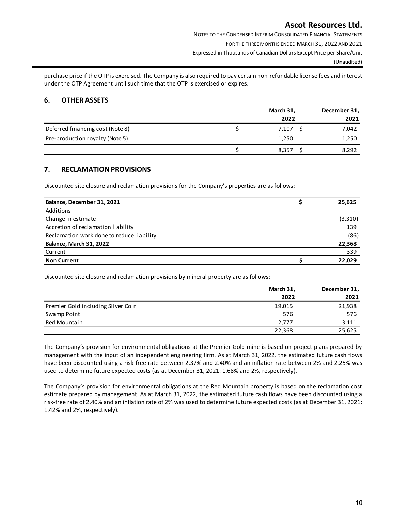NOTES TO THE CONDENSED INTERIM CONSOLIDATED FINANCIAL STATEMENTS FOR THE THREE MONTHS ENDED MARCH 31, 2022 AND 2021 Expressed in Thousands of Canadian Dollars Except Price per Share/Unit (Unaudited)

purchase price if the OTP is exercised. The Company is also required to pay certain non-refundable license fees and interest under the OTP Agreement until such time that the OTP is exercised or expires.

### **6. OTHER ASSETS**

|                                  | March 31, |  |       |
|----------------------------------|-----------|--|-------|
|                                  | 2022      |  | 2021  |
| Deferred financing cost (Note 8) | 7,107     |  | 7,042 |
| Pre-production royalty (Note 5)  | 1,250     |  | 1,250 |
|                                  | 8,357     |  | 8,292 |

#### **7. RECLAMATION PROVISIONS**

Discounted site closure and reclamation provisions for the Company's properties are as follows:

| Balance, December 31, 2021                | 25,625  |
|-------------------------------------------|---------|
| Additions                                 |         |
| Change in estimate                        | (3,310) |
| Accretion of reclamation liability        | 139     |
| Reclamation work done to reduce liability | (86)    |
| Balance, March 31, 2022                   | 22,368  |
| Current                                   | 339     |
| <b>Non Current</b>                        | 22.029  |

Discounted site closure and reclamation provisions by mineral property are as follows:

|                                    | March 31, | December 31, |
|------------------------------------|-----------|--------------|
|                                    | 2022      | 2021         |
| Premier Gold including Silver Coin | 19,015    | 21,938       |
| Swamp Point                        | 576       | 576          |
| Red Mountain                       | 2.777     | 3,111        |
|                                    | 22,368    | 25,625       |

The Company's provision for environmental obligations at the Premier Gold mine is based on project plans prepared by management with the input of an independent engineering firm. As at March 31, 2022, the estimated future cash flows have been discounted using a risk-free rate between 2.37% and 2.40% and an inflation rate between 2% and 2.25% was used to determine future expected costs (as at December 31, 2021: 1.68% and 2%, respectively).

The Company's provision for environmental obligations at the Red Mountain property is based on the reclamation cost estimate prepared by management. As at March 31, 2022, the estimated future cash flows have been discounted using a risk-free rate of 2.40% and an inflation rate of 2% was used to determine future expected costs (as at December 31, 2021: 1.42% and 2%, respectively).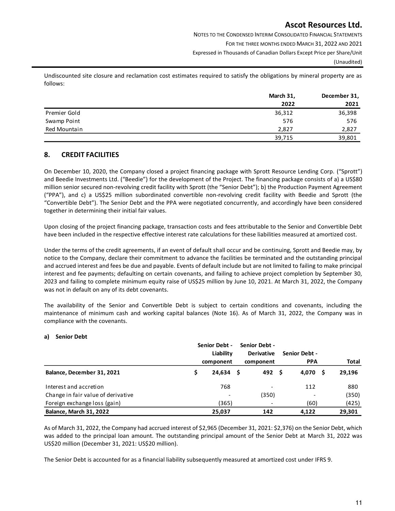NOTES TO THE CONDENSED INTERIM CONSOLIDATED FINANCIAL STATEMENTS FOR THE THREE MONTHS ENDED MARCH 31, 2022 AND 2021 Expressed in Thousands of Canadian Dollars Except Price per Share/Unit (Unaudited)

Undiscounted site closure and reclamation cost estimates required to satisfy the obligations by mineral property are as follows:

|              | March 31, | December 31, |
|--------------|-----------|--------------|
|              | 2022      | 2021         |
| Premier Gold | 36,312    | 36,398       |
| Swamp Point  | 576       | 576          |
| Red Mountain | 2,827     | 2,827        |
|              | 39,715    | 39,801       |

### **8. CREDIT FACILITIES**

On December 10, 2020, the Company closed a project financing package with Sprott Resource Lending Corp. ("Sprott") and Beedie Investments Ltd. ("Beedie") for the development of the Project. The financing package consists of a) a US\$80 million senior secured non-revolving credit facility with Sprott (the "Senior Debt"); b) the Production Payment Agreement ("PPA"), and c) a US\$25 million subordinated convertible non-revolving credit facility with Beedie and Sprott (the "Convertible Debt"). The Senior Debt and the PPA were negotiated concurrently, and accordingly have been considered together in determining their initial fair values.

Upon closing of the project financing package, transaction costs and fees attributable to the Senior and Convertible Debt have been included in the respective effective interest rate calculations for these liabilities measured at amortized cost.

Under the terms of the credit agreements, if an event of default shall occur and be continuing, Sprott and Beedie may, by notice to the Company, declare their commitment to advance the facilities be terminated and the outstanding principal and accrued interest and fees be due and payable. Events of default include but are not limited to failing to make principal interest and fee payments; defaulting on certain covenants, and failing to achieve project completion by September 30, 2023 and failing to complete minimum equity raise of US\$25 million by June 10, 2021. At March 31, 2022, the Company was not in default on any of its debt covenants.

The availability of the Senior and Convertible Debt is subject to certain conditions and covenants, including the maintenance of minimum cash and working capital balances (Note 16). As of March 31, 2022, the Company was in compliance with the covenants.

#### **a) Senior Debt**

|                                    | <b>Senior Debt -</b> | <b>Senior Debt -</b> |                          |        |
|------------------------------------|----------------------|----------------------|--------------------------|--------|
|                                    | Liability            | <b>Derivative</b>    | <b>Senior Debt -</b>     |        |
|                                    | component            | component            | <b>PPA</b>               | Total  |
| Balance, December 31, 2021         | 24,634               | 492<br>- S           | 4.070                    | 29,196 |
| Interest and accretion             | 768                  |                      | 112                      | 880    |
| Change in fair value of derivative |                      | (350)                | $\overline{\phantom{0}}$ | (350)  |
| Foreign exchange loss (gain)       | (365)                |                      | (60)                     | (425)  |
| <b>Balance, March 31, 2022</b>     | 25,037               | 142                  | 4.122                    | 29.301 |

As of March 31, 2022, the Company had accrued interest of \$2,965 (December 31, 2021: \$2,376) on the Senior Debt, which was added to the principal loan amount. The outstanding principal amount of the Senior Debt at March 31, 2022 was US\$20 million (December 31, 2021: US\$20 million).

The Senior Debt is accounted for as a financial liability subsequently measured at amortized cost under IFRS 9.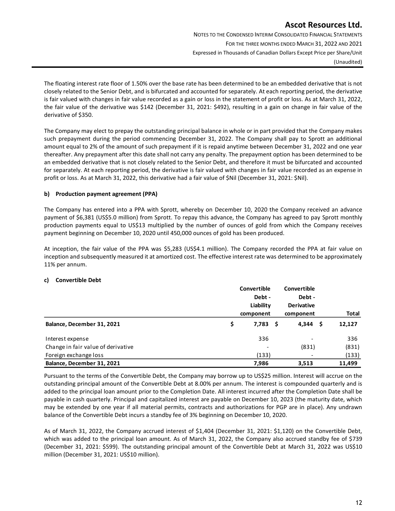NOTES TO THE CONDENSED INTERIM CONSOLIDATED FINANCIAL STATEMENTS FOR THE THREE MONTHS ENDED MARCH 31, 2022 AND 2021 Expressed in Thousands of Canadian Dollars Except Price per Share/Unit (Unaudited)

The floating interest rate floor of 1.50% over the base rate has been determined to be an embedded derivative that is not closely related to the Senior Debt, and is bifurcated and accounted for separately. At each reporting period, the derivative is fair valued with changes in fair value recorded as a gain or loss in the statement of profit or loss. As at March 31, 2022, the fair value of the derivative was \$142 (December 31, 2021: \$492), resulting in a gain on change in fair value of the derivative of \$350.

The Company may elect to prepay the outstanding principal balance in whole or in part provided that the Company makes such prepayment during the period commencing December 31, 2022. The Company shall pay to Sprott an additional amount equal to 2% of the amount of such prepayment if it is repaid anytime between December 31, 2022 and one year thereafter. Any prepayment after this date shall not carry any penalty. The prepayment option has been determined to be an embedded derivative that is not closely related to the Senior Debt, and therefore it must be bifurcated and accounted for separately. At each reporting period, the derivative is fair valued with changes in fair value recorded as an expense in profit or loss. As at March 31, 2022, this derivative had a fair value of \$Nil (December 31, 2021: \$Nil).

#### **b) Production payment agreement (PPA)**

The Company has entered into a PPA with Sprott, whereby on December 10, 2020 the Company received an advance payment of \$6,381 (US\$5.0 million) from Sprott. To repay this advance, the Company has agreed to pay Sprott monthly production payments equal to US\$13 multiplied by the number of ounces of gold from which the Company receives payment beginning on December 10, 2020 until 450,000 ounces of gold has been produced.

At inception, the fair value of the PPA was \$5,283 (US\$4.1 million). The Company recorded the PPA at fair value on inception and subsequently measured it at amortized cost. The effective interest rate was determined to be approximately 11% per annum.

#### **c) Convertible Debt**

|                                    |                | Convertible<br>Debt -<br>Liability<br>component |                          |              |
|------------------------------------|----------------|-------------------------------------------------|--------------------------|--------------|
|                                    |                |                                                 |                          |              |
|                                    |                |                                                 |                          | <b>Total</b> |
| Balance, December 31, 2021         | \$<br>7,783    | - S                                             | $4,344$ \$               | 12,127       |
| Interest expense                   | 336            |                                                 | $\overline{\phantom{0}}$ | 336          |
| Change in fair value of derivative | $\overline{a}$ |                                                 | (831)                    | (831)        |
| Foreign exchange loss              | (133)          |                                                 | $\overline{\phantom{a}}$ | (133)        |
| Balance, December 31, 2021         | 7,986          |                                                 | 3,513                    | 11.499       |

Pursuant to the terms of the Convertible Debt, the Company may borrow up to US\$25 million. Interest will accrue on the outstanding principal amount of the Convertible Debt at 8.00% per annum. The interest is compounded quarterly and is added to the principal loan amount prior to the Completion Date. All interest incurred after the Completion Date shall be payable in cash quarterly. Principal and capitalized interest are payable on December 10, 2023 (the maturity date, which may be extended by one year if all material permits, contracts and authorizations for PGP are in place). Any undrawn balance of the Convertible Debt incurs a standby fee of 3% beginning on December 10, 2020.

As of March 31, 2022, the Company accrued interest of \$1,404 (December 31, 2021: \$1,120) on the Convertible Debt, which was added to the principal loan amount. As of March 31, 2022, the Company also accrued standby fee of \$739 (December 31, 2021: \$599). The outstanding principal amount of the Convertible Debt at March 31, 2022 was US\$10 million (December 31, 2021: US\$10 million).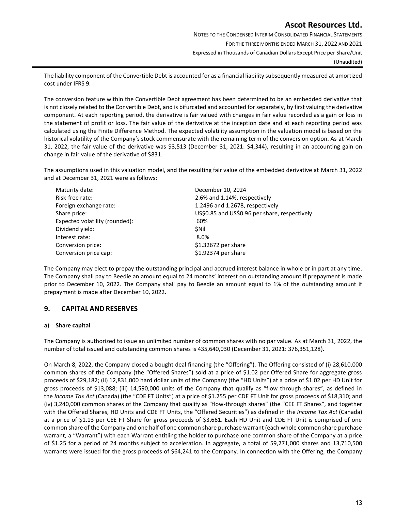NOTES TO THE CONDENSED INTERIM CONSOLIDATED FINANCIAL STATEMENTS FOR THE THREE MONTHS ENDED MARCH 31, 2022 AND 2021 Expressed in Thousands of Canadian Dollars Except Price per Share/Unit (Unaudited)

The liability component of the Convertible Debt is accounted for as a financial liability subsequently measured at amortized cost under IFRS 9.

The conversion feature within the Convertible Debt agreement has been determined to be an embedded derivative that is not closely related to the Convertible Debt, and is bifurcated and accounted for separately, by first valuing the derivative component. At each reporting period, the derivative is fair valued with changes in fair value recorded as a gain or loss in the statement of profit or loss. The fair value of the derivative at the inception date and at each reporting period was calculated using the Finite Difference Method. The expected volatility assumption in the valuation model is based on the historical volatility of the Company's stock commensurate with the remaining term of the conversion option. As at March 31, 2022, the fair value of the derivative was \$3,513 (December 31, 2021: \$4,344), resulting in an accounting gain on change in fair value of the derivative of \$831.

The assumptions used in this valuation model, and the resulting fair value of the embedded derivative at March 31, 2022 and at December 31, 2021 were as follows:

| Maturity date:                 | December 10, 2024                             |
|--------------------------------|-----------------------------------------------|
| Risk-free rate:                | 2.6% and 1.14%, respectively                  |
| Foreign exchange rate:         | 1.2496 and 1.2678, respectively               |
| Share price:                   | US\$0.85 and US\$0.96 per share, respectively |
| Expected volatility (rounded): | 60%                                           |
| Dividend yield:                | <b>SNil</b>                                   |
| Interest rate:                 | 8.0%                                          |
| Conversion price:              | \$1.32672 per share                           |
| Conversion price cap:          | \$1.92374 per share                           |

The Company may elect to prepay the outstanding principal and accrued interest balance in whole or in part at any time. The Company shall pay to Beedie an amount equal to 24 months' interest on outstanding amount if prepayment is made prior to December 10, 2022. The Company shall pay to Beedie an amount equal to 1% of the outstanding amount if prepayment is made after December 10, 2022.

### **9. CAPITAL AND RESERVES**

#### **a) Share capital**

The Company is authorized to issue an unlimited number of common shares with no par value. As at March 31, 2022, the number of total issued and outstanding common shares is 435,640,030 (December 31, 2021: 376,351,128).

On March 8, 2022, the Company closed a bought deal financing (the "Offering"). The Offering consisted of (i) 28,610,000 common shares of the Company (the "Offered Shares") sold at a price of \$1.02 per Offered Share for aggregate gross proceeds of \$29,182; (ii) 12,831,000 hard dollar units of the Company (the "HD Units") at a price of \$1.02 per HD Unit for gross proceeds of \$13,088; (iii) 14,590,000 units of the Company that qualify as "flow through shares", as defined in the *Income Tax Act* (Canada) (the "CDE FT Units") at a price of \$1.255 per CDE FT Unit for gross proceeds of \$18,310; and (iv) 3,240,000 common shares of the Company that qualify as "flow-through shares" (the "CEE FT Shares", and together with the Offered Shares, HD Units and CDE FT Units, the "Offered Securities") as defined in the *Income Tax Act* (Canada) at a price of \$1.13 per CEE FT Share for gross proceeds of \$3,661. Each HD Unit and CDE FT Unit is comprised of one common share of the Company and one half of one common share purchase warrant (each whole common share purchase warrant, a "Warrant") with each Warrant entitling the holder to purchase one common share of the Company at a price of \$1.25 for a period of 24 months subject to acceleration. In aggregate, a total of 59,271,000 shares and 13,710,500 warrants were issued for the gross proceeds of \$64,241 to the Company. In connection with the Offering, the Company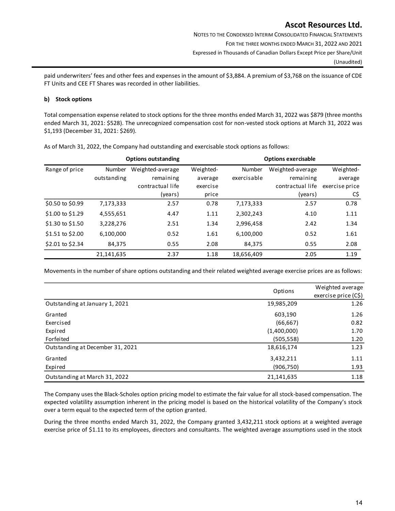NOTES TO THE CONDENSED INTERIM CONSOLIDATED FINANCIAL STATEMENTS FOR THE THREE MONTHS ENDED MARCH 31, 2022 AND 2021 Expressed in Thousands of Canadian Dollars Except Price per Share/Unit (Unaudited)

paid underwriters' fees and other fees and expenses in the amount of \$3,884. A premium of \$3,768 on the issuance of CDE FT Units and CEE FT Shares was recorded in other liabilities.

#### **b) Stock options**

Total compensation expense related to stock options for the three months ended March 31, 2022 was \$879 (three months ended March 31, 2021: \$528). The unrecognized compensation cost for non-vested stock options at March 31, 2022 was \$1,193 (December 31, 2021: \$269).

|                            |               | <b>Options outstanding</b> | <b>Options exercisable</b> |             |                  |                |
|----------------------------|---------------|----------------------------|----------------------------|-------------|------------------|----------------|
| Range of price             | <b>Number</b> | Weighted-average           | Weighted-                  | Number      | Weighted-average | Weighted-      |
|                            | outstanding   | remaining                  | average                    | exercisable | remaining        | average        |
|                            |               | contractual life           | exercise                   |             | contractual life | exercise price |
|                            |               | (years)                    | price                      |             | (years)          | C\$            |
| \$0.50 to \$0.99           | 7,173,333     | 2.57                       | 0.78                       | 7,173,333   | 2.57             | 0.78           |
| $$1.00 \text{ to } $1.29$$ | 4,555,651     | 4.47                       | 1.11                       | 2,302,243   | 4.10             | 1.11           |
| $$1.30 \text{ to } $1.50$  | 3,228,276     | 2.51                       | 1.34                       | 2,996,458   | 2.42             | 1.34           |
| $$1.51$ to $$2.00$         | 6,100,000     | 0.52                       | 1.61                       | 6,100,000   | 0.52             | 1.61           |
| \$2.01 to \$2.34           | 84,375        | 0.55                       | 2.08                       | 84,375      | 0.55             | 2.08           |
|                            | 21,141,635    | 2.37                       | 1.18                       | 18,656,409  | 2.05             | 1.19           |

As of March 31, 2022, the Company had outstanding and exercisable stock options as follows:

Movements in the number of share options outstanding and their related weighted average exercise prices are as follows:

|                                  | Options     | Weighted average<br>exercise price (C\$) |
|----------------------------------|-------------|------------------------------------------|
| Outstanding at January 1, 2021   | 19,985,209  | 1.26                                     |
| Granted                          | 603,190     | 1.26                                     |
| Exercised                        | (66, 667)   | 0.82                                     |
| Expired                          | (1,400,000) | 1.70                                     |
| Forfeited                        | (505,558)   | 1.20                                     |
| Outstanding at December 31, 2021 | 18,616,174  | 1.23                                     |
| Granted                          | 3,432,211   | 1.11                                     |
| Expired                          | (906, 750)  | 1.93                                     |
| Outstanding at March 31, 2022    | 21,141,635  | 1.18                                     |

The Company uses the Black-Scholes option pricing model to estimate the fair value for all stock-based compensation. The expected volatility assumption inherent in the pricing model is based on the historical volatility of the Company's stock over a term equal to the expected term of the option granted.

During the three months ended March 31, 2022, the Company granted 3,432,211 stock options at a weighted average exercise price of \$1.11 to its employees, directors and consultants. The weighted average assumptions used in the stock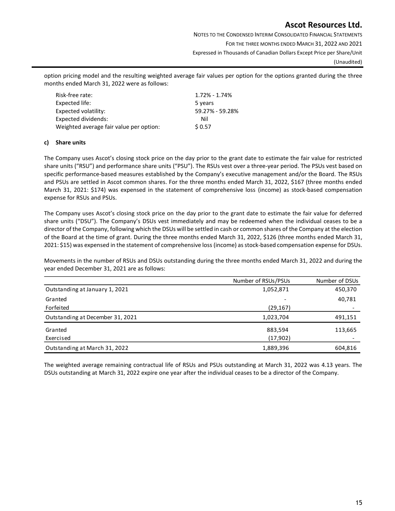NOTES TO THE CONDENSED INTERIM CONSOLIDATED FINANCIAL STATEMENTS FOR THE THREE MONTHS ENDED MARCH 31, 2022 AND 2021 Expressed in Thousands of Canadian Dollars Except Price per Share/Unit (Unaudited)

option pricing model and the resulting weighted average fair values per option for the options granted during the three months ended March 31, 2022 were as follows:

| Risk-free rate:                         | $1.72\% - 1.74\%$ |
|-----------------------------------------|-------------------|
| Expected life:                          | 5 years           |
| Expected volatility:                    | 59.27% - 59.28%   |
| Expected dividends:                     | Nil               |
| Weighted average fair value per option: | \$0.57            |

#### **c) Share units**

The Company uses Ascot's closing stock price on the day prior to the grant date to estimate the fair value for restricted share units ("RSU") and performance share units ("PSU"). The RSUs vest over a three-year period. The PSUs vest based on specific performance-based measures established by the Company's executive management and/or the Board. The RSUs and PSUs are settled in Ascot common shares. For the three months ended March 31, 2022, \$167 (three months ended March 31, 2021: \$174) was expensed in the statement of comprehensive loss (income) as stock-based compensation expense for RSUs and PSUs.

The Company uses Ascot's closing stock price on the day prior to the grant date to estimate the fair value for deferred share units ("DSU"). The Company's DSUs vest immediately and may be redeemed when the individual ceases to be a director of the Company, following which the DSUs will be settled in cash or common shares of the Company at the election of the Board at the time of grant. During the three months ended March 31, 2022, \$126 (three months ended March 31, 2021: \$15) was expensed in the statement of comprehensive loss (income) as stock-based compensation expense for DSUs.

Movements in the number of RSUs and DSUs outstanding during the three months ended March 31, 2022 and during the year ended December 31, 2021 are as follows:

|                                  | Number of RSUs/PSUs | Number of DSUs |
|----------------------------------|---------------------|----------------|
| Outstanding at January 1, 2021   | 1,052,871           | 450,370        |
| Granted                          |                     | 40,781         |
| <b>Forfeited</b>                 | (29, 167)           |                |
| Outstanding at December 31, 2021 | 1,023,704           | 491,151        |
| Granted                          | 883,594             | 113,665        |
| Exercised                        | (17,902)            |                |
| Outstanding at March 31, 2022    | 1,889,396           | 604,816        |

The weighted average remaining contractual life of RSUs and PSUs outstanding at March 31, 2022 was 4.13 years. The DSUs outstanding at March 31, 2022 expire one year after the individual ceases to be a director of the Company.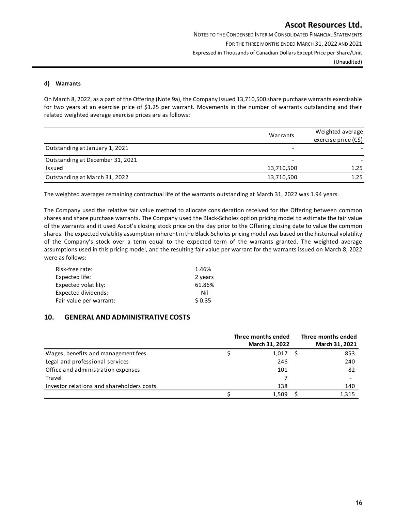#### **d) Warrants**

On March 8, 2022, as a part of the Offering (Note 9a), the Company issued 13,710,500 share purchase warrants exercisable for two years at an exercise price of \$1.25 per warrant. Movements in the number of warrants outstanding and their related weighted average exercise prices are as follows:

|                                  | Warrants                 | Weighted average<br>exercise price (C\$) |
|----------------------------------|--------------------------|------------------------------------------|
| Outstanding at January 1, 2021   |                          |                                          |
| Outstanding at December 31, 2021 | $\overline{\phantom{0}}$ |                                          |
| Issued                           | 13,710,500               | 1.25                                     |
| Outstanding at March 31, 2022    | 13,710,500               | 1.25                                     |

The weighted averages remaining contractual life of the warrants outstanding at March 31, 2022 was 1.94 years.

The Company used the relative fair value method to allocate consideration received for the Offering between common shares and share purchase warrants. The Company used the Black-Scholes option pricing model to estimate the fair value of the warrants and it used Ascot's closing stock price on the day prior to the Offering closing date to value the common shares. The expected volatility assumption inherent in the Black-Scholes pricing model was based on the historical volatility of the Company's stock over a term equal to the expected term of the warrants granted. The weighted average assumptions used in this pricing model, and the resulting fair value per warrant for the warrants issued on March 8, 2022 were as follows:

| 1.46%   |
|---------|
| 2 years |
| 61.86%  |
| Nil     |
| \$0.35  |
|         |

### **10. GENERAL AND ADMINISTRATIVE COSTS**

|                                           | Three months ended<br>March 31, 2022 | Three months ended<br>March 31, 2021 |
|-------------------------------------------|--------------------------------------|--------------------------------------|
| Wages, benefits and management fees       | 1,017                                | 853                                  |
| Legal and professional services           | 246                                  | 240                                  |
| Office and administration expenses        | 101                                  | 82                                   |
| Travel                                    |                                      |                                      |
| Investor relations and shareholders costs | 138                                  | 140                                  |
|                                           | 1.509                                | 1,315                                |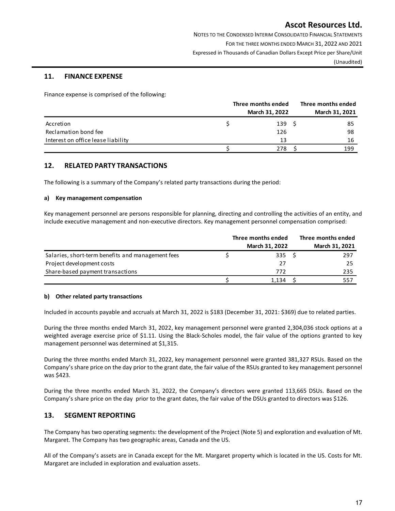NOTES TO THE CONDENSED INTERIM CONSOLIDATED FINANCIAL STATEMENTS FOR THE THREE MONTHS ENDED MARCH 31, 2022 AND 2021 Expressed in Thousands of Canadian Dollars Except Price per Share/Unit (Unaudited)

### **11. FINANCE EXPENSE**

Finance expense is comprised of the following:

|                                    | Three months ended | Three months ended |
|------------------------------------|--------------------|--------------------|
|                                    | March 31, 2022     | March 31, 2021     |
| Accretion                          | 139 <sub>5</sub>   | 85                 |
| Reclamation bond fee               | 126                | 98                 |
| Interest on office lease liability | 13                 | 16                 |
|                                    | 278                | 199                |

#### **12. RELATED PARTY TRANSACTIONS**

The following is a summary of the Company's related party transactions during the period:

#### **a) Key management compensation**

Key management personnel are persons responsible for planning, directing and controlling the activities of an entity, and include executive management and non-executive directors. Key management personnel compensation comprised:

|                                                   | Three months ended |                | Three months ended |
|---------------------------------------------------|--------------------|----------------|--------------------|
|                                                   |                    | March 31, 2022 | March 31, 2021     |
| Salaries, short-term benefits and management fees |                    | 335            | 297                |
| Project development costs                         |                    | 27             | -25                |
| Share-based payment transactions                  |                    | 772            | 235                |
|                                                   |                    | 1.134          | 557                |

#### **b) Other related party transactions**

Included in accounts payable and accruals at March 31, 2022 is \$183 (December 31, 2021: \$369) due to related parties.

During the three months ended March 31, 2022, key management personnel were granted 2,304,036 stock options at a weighted average exercise price of \$1.11. Using the Black-Scholes model, the fair value of the options granted to key management personnel was determined at \$1,315.

During the three months ended March 31, 2022, key management personnel were granted 381,327 RSUs. Based on the Company's share price on the day prior to the grant date, the fair value of the RSUs granted to key management personnel was \$423.

During the three months ended March 31, 2022, the Company's directors were granted 113,665 DSUs. Based on the Company's share price on the day prior to the grant dates, the fair value of the DSUs granted to directors was \$126.

### **13. SEGMENT REPORTING**

The Company has two operating segments: the development of the Project (Note 5) and exploration and evaluation of Mt. Margaret. The Company has two geographic areas, Canada and the US.

All of the Company's assets are in Canada except for the Mt. Margaret property which is located in the US. Costs for Mt. Margaret are included in exploration and evaluation assets.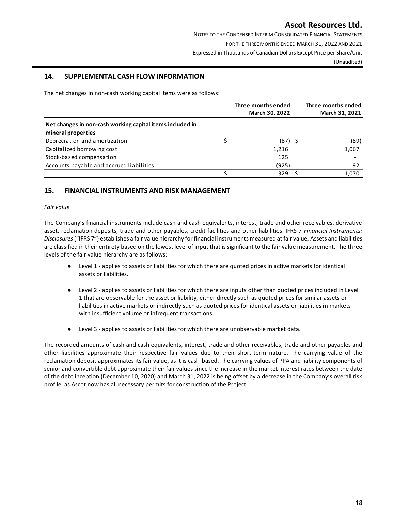NOTES TO THE CONDENSED INTERIM CONSOLIDATED FINANCIAL STATEMENTS FOR THE THREE MONTHS ENDED MARCH 31, 2022 AND 2021 Expressed in Thousands of Canadian Dollars Except Price per Share/Unit (Unaudited)

### **14. SUPPLEMENTAL CASH FLOW INFORMATION**

The net changes in non-cash working capital items were as follows:

|                                                                                 |  | Three months ended<br>March 30, 2022 | Three months ended<br>March 31, 2021 |
|---------------------------------------------------------------------------------|--|--------------------------------------|--------------------------------------|
| Net changes in non-cash working capital items included in<br>mineral properties |  |                                      |                                      |
| Depreciation and amortization                                                   |  | $(87)$ \$                            | (89)                                 |
| Capitalized borrowing cost                                                      |  | 1,216                                | 1,067                                |
| Stock-based compensation                                                        |  | 125                                  |                                      |
| Accounts payable and accrued liabilities                                        |  | (925)                                | 92                                   |
|                                                                                 |  | 329                                  | 1,070                                |

#### **15. FINANCIAL INSTRUMENTS AND RISK MANAGEMENT**

#### *Fair value*

The Company's financial instruments include cash and cash equivalents, interest, trade and other receivables, derivative asset, reclamation deposits, trade and other payables, credit facilities and other liabilities. IFRS 7 *Financial Instruments: Disclosures* ("IFRS 7") establishes a fair value hierarchy for financial instruments measured at fair value. Assets and liabilities are classified in their entirety based on the lowest level of input that is significant to the fair value measurement. The three levels of the fair value hierarchy are as follows:

- Level 1 applies to assets or liabilities for which there are quoted prices in active markets for identical assets or liabilities.
- Level 2 ‐ applies to assets or liabilities for which there are inputs other than quoted prices included in Level 1 that are observable for the asset or liability, either directly such as quoted prices for similar assets or liabilities in active markets or indirectly such as quoted prices for identical assets or liabilities in markets with insufficient volume or infrequent transactions.
- Level 3 applies to assets or liabilities for which there are unobservable market data.

The recorded amounts of cash and cash equivalents, interest, trade and other receivables, trade and other payables and other liabilities approximate their respective fair values due to their short-term nature. The carrying value of the reclamation deposit approximates its fair value, as it is cash-based. The carrying values of PPA and liability components of senior and convertible debt approximate their fair values since the increase in the market interest rates between the date of the debt inception (December 10, 2020) and March 31, 2022 is being offset by a decrease in the Company's overall risk profile, as Ascot now has all necessary permits for construction of the Project.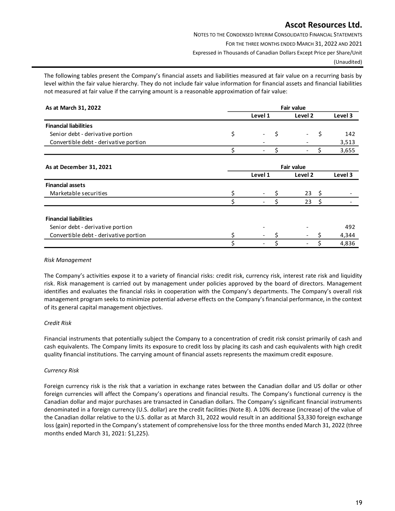NOTES TO THE CONDENSED INTERIM CONSOLIDATED FINANCIAL STATEMENTS FOR THE THREE MONTHS ENDED MARCH 31, 2022 AND 2021 Expressed in Thousands of Canadian Dollars Except Price per Share/Unit

(Unaudited)

The following tables present the Company's financial assets and liabilities measured at fair value on a recurring basis by level within the fair value hierarchy. They do not include fair value information for financial assets and financial liabilities not measured at fair value if the carrying amount is a reasonable approximation of fair value:

| As at March 31, 2022<br><b>Financial liabilities</b> | Fair value               |  |                          |         |       |  |  |  |  |  |
|------------------------------------------------------|--------------------------|--|--------------------------|---------|-------|--|--|--|--|--|
|                                                      | Level 1                  |  | Level <sub>2</sub>       | Level 3 |       |  |  |  |  |  |
|                                                      |                          |  |                          |         |       |  |  |  |  |  |
| Senior debt - derivative portion                     | $ \,$                    |  | $\sim 100$               |         | 142   |  |  |  |  |  |
| Convertible debt - derivative portion                | $\overline{\phantom{a}}$ |  | $\overline{\phantom{0}}$ |         | 3,513 |  |  |  |  |  |
|                                                      | $\overline{\phantom{0}}$ |  | -                        |         | 3,655 |  |  |  |  |  |

| As at December 31, 2021<br><b>Financial assets</b> | <b>Fair value</b>        |  |                          |         |       |  |  |  |  |
|----------------------------------------------------|--------------------------|--|--------------------------|---------|-------|--|--|--|--|
|                                                    | Level 1                  |  |                          | Level 2 |       |  |  |  |  |
|                                                    |                          |  |                          |         |       |  |  |  |  |
| Marketable securities                              | $\overline{\phantom{a}}$ |  | 23                       | -S      |       |  |  |  |  |
|                                                    |                          |  | 23                       |         |       |  |  |  |  |
|                                                    |                          |  |                          |         |       |  |  |  |  |
| <b>Financial liabilities</b>                       |                          |  |                          |         |       |  |  |  |  |
| Senior debt - derivative portion                   | $\overline{\phantom{a}}$ |  |                          |         | 492   |  |  |  |  |
| Convertible debt - derivative portion              | $\overline{\phantom{a}}$ |  | $\overline{\phantom{a}}$ |         | 4,344 |  |  |  |  |
|                                                    | $\overline{\phantom{a}}$ |  | $\overline{\phantom{a}}$ |         | 4,836 |  |  |  |  |

#### *Risk Management*

The Company's activities expose it to a variety of financial risks: credit risk, currency risk, interest rate risk and liquidity risk. Risk management is carried out by management under policies approved by the board of directors. Management identifies and evaluates the financial risks in cooperation with the Company's departments. The Company's overall risk management program seeks to minimize potential adverse effects on the Company's financial performance, in the context of its general capital management objectives.

#### *Credit Risk*

Financial instruments that potentially subject the Company to a concentration of credit risk consist primarily of cash and cash equivalents. The Company limits its exposure to credit loss by placing its cash and cash equivalents with high credit quality financial institutions. The carrying amount of financial assets represents the maximum credit exposure.

#### *Currency Risk*

Foreign currency risk is the risk that a variation in exchange rates between the Canadian dollar and US dollar or other foreign currencies will affect the Company's operations and financial results. The Company's functional currency is the Canadian dollar and major purchases are transacted in Canadian dollars. The Company's significant financial instruments denominated in a foreign currency (U.S. dollar) are the credit facilities (Note 8). A 10% decrease (increase) of the value of the Canadian dollar relative to the U.S. dollar as at March 31, 2022 would result in an additional \$3,330 foreign exchange loss (gain) reported in the Company's statement of comprehensive loss for the three months ended March 31, 2022 (three months ended March 31, 2021: \$1,225).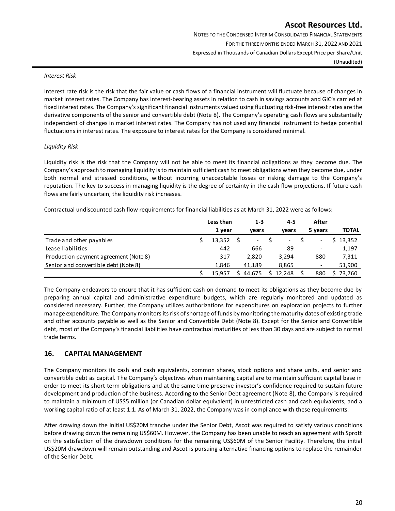NOTES TO THE CONDENSED INTERIM CONSOLIDATED FINANCIAL STATEMENTS FOR THE THREE MONTHS ENDED MARCH 31, 2022 AND 2021 Expressed in Thousands of Canadian Dollars Except Price per Share/Unit (Unaudited)

#### *Interest Risk*

Interest rate risk is the risk that the fair value or cash flows of a financial instrument will fluctuate because of changes in market interest rates. The Company has interest-bearing assets in relation to cash in savings accounts and GIC's carried at fixed interest rates. The Company's significant financial instruments valued using fluctuating risk-free interest rates are the derivative components of the senior and convertible debt (Note 8). The Company's operating cash flows are substantially independent of changes in market interest rates. The Company has not used any financial instrument to hedge potential fluctuations in interest rates. The exposure to interest rates for the Company is considered minimal.

#### *Liquidity Risk*

Liquidity risk is the risk that the Company will not be able to meet its financial obligations as they become due. The Company's approach to managing liquidity is to maintain sufficient cash to meet obligations when they become due, under both normal and stressed conditions, without incurring unacceptable losses or risking damage to the Company's reputation. The key to success in managing liquidity is the degree of certainty in the cash flow projections. If future cash flows are fairly uncertain, the liquidity risk increases.

Contractual undiscounted cash flow requirements for financial liabilities as at March 31, 2022 were as follows:

|                                       | Less than | $1 - 3$ | 4-5                      | After                    |              |
|---------------------------------------|-----------|---------|--------------------------|--------------------------|--------------|
|                                       | 1 year    | vears   | vears                    | 5 years                  | <b>TOTAL</b> |
| Trade and other payables              | 13,352    |         | $\overline{\phantom{a}}$ | $\overline{\phantom{a}}$ | 13,352       |
| Lease liabilities                     | 442       | 666     | 89                       | $\overline{\phantom{a}}$ | 1,197        |
| Production payment agreement (Note 8) | 317       | 2.820   | 3,294                    | 880                      | 7,311        |
| Senior and convertible debt (Note 8)  | 1.846     | 41.189  | 8.865                    | $\overline{\phantom{a}}$ | 51,900       |
|                                       | 15.957    | 44.675  | 12.248                   | 880                      | 73.760       |

The Company endeavors to ensure that it has sufficient cash on demand to meet its obligations as they become due by preparing annual capital and administrative expenditure budgets, which are regularly monitored and updated as considered necessary. Further, the Company utilizes authorizations for expenditures on exploration projects to further manage expenditure. The Company monitors its risk of shortage of funds by monitoring the maturity dates of existing trade and other accounts payable as well as the Senior and Convertible Debt (Note 8). Except for the Senior and Convertible debt, most of the Company's financial liabilities have contractual maturities of less than 30 days and are subject to normal trade terms.

### **16. CAPITAL MANAGEMENT**

The Company monitors its cash and cash equivalents, common shares, stock options and share units, and senior and convertible debt as capital. The Company's objectives when maintaining capital are to maintain sufficient capital base in order to meet its short-term obligations and at the same time preserve investor's confidence required to sustain future development and production of the business. According to the Senior Debt agreement (Note 8), the Company is required to maintain a minimum of US\$5 million (or Canadian dollar equivalent) in unrestricted cash and cash equivalents, and a working capital ratio of at least 1:1. As of March 31, 2022, the Company was in compliance with these requirements.

After drawing down the initial US\$20M tranche under the Senior Debt, Ascot was required to satisfy various conditions before drawing down the remaining US\$60M. However, the Company has been unable to reach an agreement with Sprott on the satisfaction of the drawdown conditions for the remaining US\$60M of the Senior Facility. Therefore, the initial US\$20M drawdown will remain outstanding and Ascot is pursuing alternative financing options to replace the remainder of the Senior Debt.